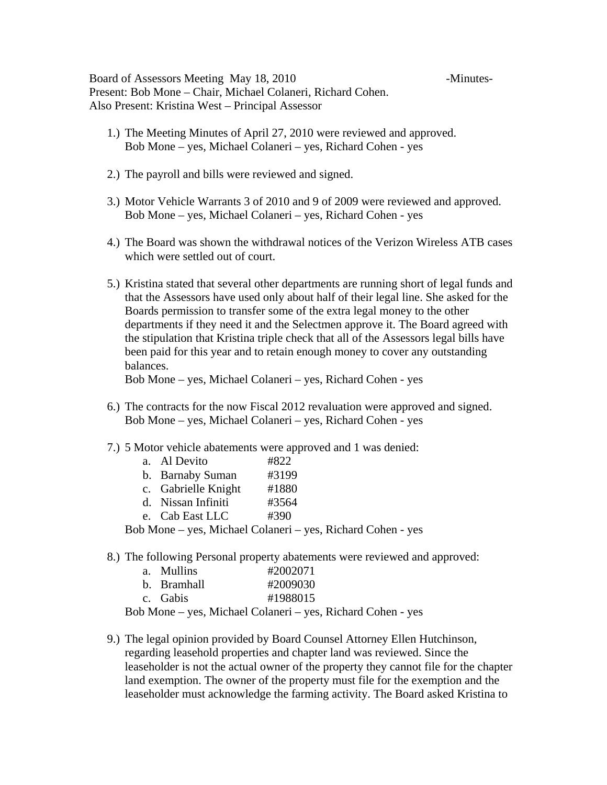Board of Assessors Meeting May 18, 2010 - Minutes-Present: Bob Mone – Chair, Michael Colaneri, Richard Cohen. Also Present: Kristina West – Principal Assessor

- 1.) The Meeting Minutes of April 27, 2010 were reviewed and approved. Bob Mone – yes, Michael Colaneri – yes, Richard Cohen - yes
- 2.) The payroll and bills were reviewed and signed.
- 3.) Motor Vehicle Warrants 3 of 2010 and 9 of 2009 were reviewed and approved. Bob Mone – yes, Michael Colaneri – yes, Richard Cohen - yes
- 4.) The Board was shown the withdrawal notices of the Verizon Wireless ATB cases which were settled out of court.
- 5.) Kristina stated that several other departments are running short of legal funds and that the Assessors have used only about half of their legal line. She asked for the Boards permission to transfer some of the extra legal money to the other departments if they need it and the Selectmen approve it. The Board agreed with the stipulation that Kristina triple check that all of the Assessors legal bills have been paid for this year and to retain enough money to cover any outstanding balances.

Bob Mone – yes, Michael Colaneri – yes, Richard Cohen - yes

- 6.) The contracts for the now Fiscal 2012 revaluation were approved and signed. Bob Mone – yes, Michael Colaneri – yes, Richard Cohen - yes
- 7.) 5 Motor vehicle abatements were approved and 1 was denied:

|                                                                                         | a. Al Devito        | #822  |  |
|-----------------------------------------------------------------------------------------|---------------------|-------|--|
|                                                                                         | b. Barnaby Suman    | #3199 |  |
|                                                                                         | c. Gabrielle Knight | #1880 |  |
|                                                                                         | d. Nissan Infiniti  | #3564 |  |
|                                                                                         | e. Cab East LLC     | #390  |  |
| 1. $M_{\rm max}$ = $M_{\rm max}$ = $M_{\rm max}$ = $1 \Omega$ = $1 \Omega$ = $1 \Omega$ |                     |       |  |

Bob Mone – yes, Michael Colaneri – yes, Richard Cohen - yes

8.) The following Personal property abatements were reviewed and approved:

| a. Mullins  | #2002071 |
|-------------|----------|
| b. Bramhall | #2009030 |
| c. Gabis    | #1988015 |

Bob Mone – yes, Michael Colaneri – yes, Richard Cohen - yes

9.) The legal opinion provided by Board Counsel Attorney Ellen Hutchinson, regarding leasehold properties and chapter land was reviewed. Since the leaseholder is not the actual owner of the property they cannot file for the chapter land exemption. The owner of the property must file for the exemption and the leaseholder must acknowledge the farming activity. The Board asked Kristina to